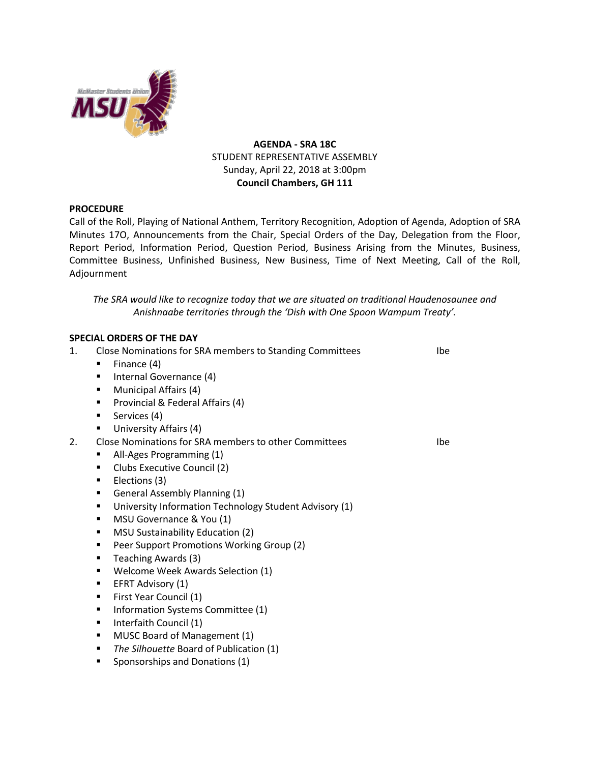

# **AGENDA - SRA 18C** STUDENT REPRESENTATIVE ASSEMBLY Sunday, April 22, 2018 at 3:00pm **Council Chambers, GH 111**

## **PROCEDURE**

Call of the Roll, Playing of National Anthem, Territory Recognition, Adoption of Agenda, Adoption of SRA Minutes 17O, Announcements from the Chair, Special Orders of the Day, Delegation from the Floor, Report Period, Information Period, Question Period, Business Arising from the Minutes, Business, Committee Business, Unfinished Business, New Business, Time of Next Meeting, Call of the Roll, Adjournment

*The SRA would like to recognize today that we are situated on traditional Haudenosaunee and Anishnaabe territories through the 'Dish with One Spoon Wampum Treaty'.*

## **SPECIAL ORDERS OF THE DAY**

| 1. | Close Nominations for SRA members to Standing Committees    | Ibe |
|----|-------------------------------------------------------------|-----|
|    | Finance (4)<br>٠                                            |     |
|    | Internal Governance (4)<br>٠                                |     |
|    | Municipal Affairs (4)<br>$\blacksquare$                     |     |
|    | Provincial & Federal Affairs (4)<br>٠                       |     |
|    | Services (4)<br>٠                                           |     |
|    | University Affairs (4)<br>٠                                 |     |
| 2. | Close Nominations for SRA members to other Committees       | Ibe |
|    | All-Ages Programming (1)<br>٠                               |     |
|    | Clubs Executive Council (2)<br>٠                            |     |
|    | Elections (3)<br>٠                                          |     |
|    | General Assembly Planning (1)<br>٠                          |     |
|    | University Information Technology Student Advisory (1)<br>п |     |
|    | MSU Governance & You (1)<br>٠                               |     |
|    | <b>MSU Sustainability Education (2)</b><br>٠                |     |
|    | Peer Support Promotions Working Group (2)<br>٠              |     |
|    | Teaching Awards (3)<br>٠                                    |     |
|    | Welcome Week Awards Selection (1)<br>٠                      |     |
|    | EFRT Advisory (1)<br>٠                                      |     |
|    | First Year Council (1)<br>٠                                 |     |
|    | Information Systems Committee (1)<br>٠                      |     |
|    | Interfaith Council (1)<br>٠                                 |     |
|    | MUSC Board of Management (1)<br>٠                           |     |
|    | The Silhouette Board of Publication (1)<br>٠                |     |
|    | Sponsorships and Donations (1)<br>$\blacksquare$            |     |
|    |                                                             |     |
|    |                                                             |     |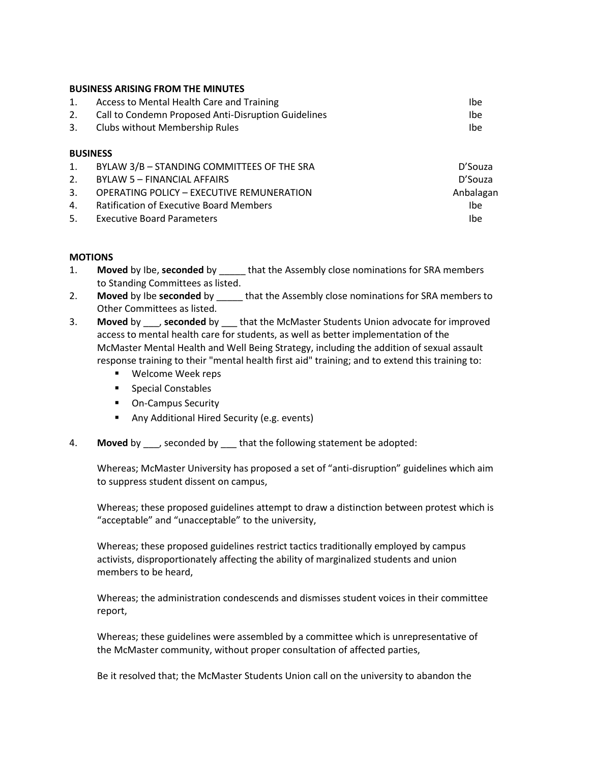## **BUSINESS ARISING FROM THE MINUTES**

|    | Access to Mental Health Care and Training           | lbe. |
|----|-----------------------------------------------------|------|
| 2. | Call to Condemn Proposed Anti-Disruption Guidelines | lbe  |
| 3. | Clubs without Membership Rules                      | Ibe  |

## **BUSINESS**

| 1. | BYLAW 3/B - STANDING COMMITTEES OF THE SRA | D'Souza   |
|----|--------------------------------------------|-----------|
| 2. | BYLAW 5 – FINANCIAL AFFAIRS                | D'Souza   |
| 3. | OPERATING POLICY - EXECUTIVE REMUNERATION  | Anbalagan |
|    | 4. Ratification of Executive Board Members | Ibe       |
|    | 5. Executive Board Parameters              | Ibe       |

## **MOTIONS**

- 1. **Moved** by Ibe, **seconded** by \_\_\_\_\_ that the Assembly close nominations for SRA members to Standing Committees as listed.
- 2. **Moved** by Ibe **seconded** by that the Assembly close nominations for SRA members to Other Committees as listed.
- 3. **Moved** by \_\_\_, **seconded** by \_\_\_ that the McMaster Students Union advocate for improved access to mental health care for students, as well as better implementation of the McMaster Mental Health and Well Being Strategy, including the addition of sexual assault response training to their "mental health first aid" training; and to extend this training to:
	- Welcome Week reps
	- Special Constables
	- On-Campus Security
	- Any Additional Hired Security (e.g. events)
- 4. **Moved** by \_\_\_, seconded by \_\_\_ that the following statement be adopted:

Whereas; McMaster University has proposed a set of "anti-disruption" guidelines which aim to suppress student dissent on campus,

Whereas; these proposed guidelines attempt to draw a distinction between protest which is "acceptable" and "unacceptable" to the university,

Whereas; these proposed guidelines restrict tactics traditionally employed by campus activists, disproportionately affecting the ability of marginalized students and union members to be heard,

Whereas; the administration condescends and dismisses student voices in their committee report,

Whereas; these guidelines were assembled by a committee which is unrepresentative of the McMaster community, without proper consultation of affected parties,

Be it resolved that; the McMaster Students Union call on the university to abandon the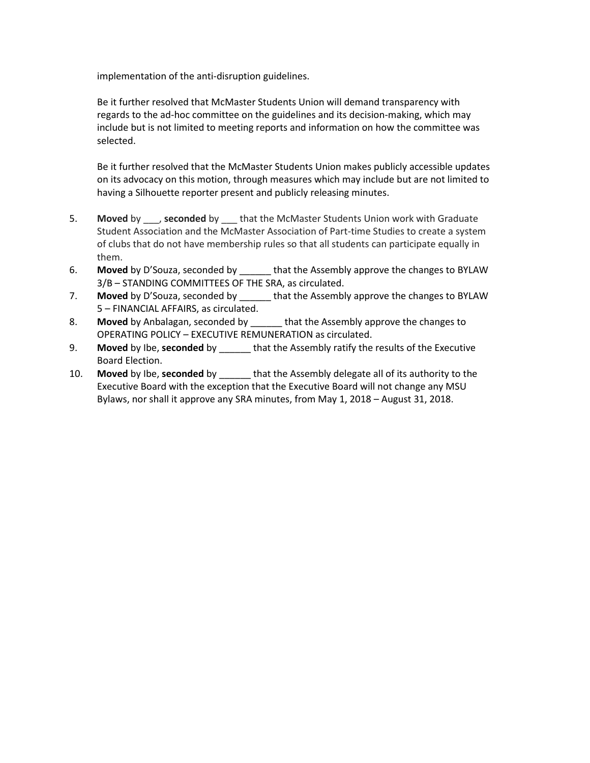implementation of the anti-disruption guidelines.

Be it further resolved that McMaster Students Union will demand transparency with regards to the ad-hoc committee on the guidelines and its decision-making, which may include but is not limited to meeting reports and information on how the committee was selected.

Be it further resolved that the McMaster Students Union makes publicly accessible updates on its advocacy on this motion, through measures which may include but are not limited to having a Silhouette reporter present and publicly releasing minutes.

- 5. **Moved** by \_\_\_, **seconded** by \_\_\_ that the McMaster Students Union work with Graduate Student Association and the McMaster Association of Part-time Studies to create a system of clubs that do not have membership rules so that all students can participate equally in them.
- 6. **Moved** by D'Souza, seconded by \_\_\_\_\_\_ that the Assembly approve the changes to BYLAW 3/B – STANDING COMMITTEES OF THE SRA, as circulated.
- 7. **Moved** by D'Souza, seconded by that the Assembly approve the changes to BYLAW 5 – FINANCIAL AFFAIRS, as circulated.
- 8. **Moved** by Anbalagan, seconded by \_\_\_\_\_\_ that the Assembly approve the changes to OPERATING POLICY – EXECUTIVE REMUNERATION as circulated.
- 9. **Moved** by Ibe, **seconded** by \_\_\_\_\_\_ that the Assembly ratify the results of the Executive Board Election.
- 10. **Moved** by Ibe, **seconded** by \_\_\_\_\_\_ that the Assembly delegate all of its authority to the Executive Board with the exception that the Executive Board will not change any MSU Bylaws, nor shall it approve any SRA minutes, from May 1, 2018 – August 31, 2018.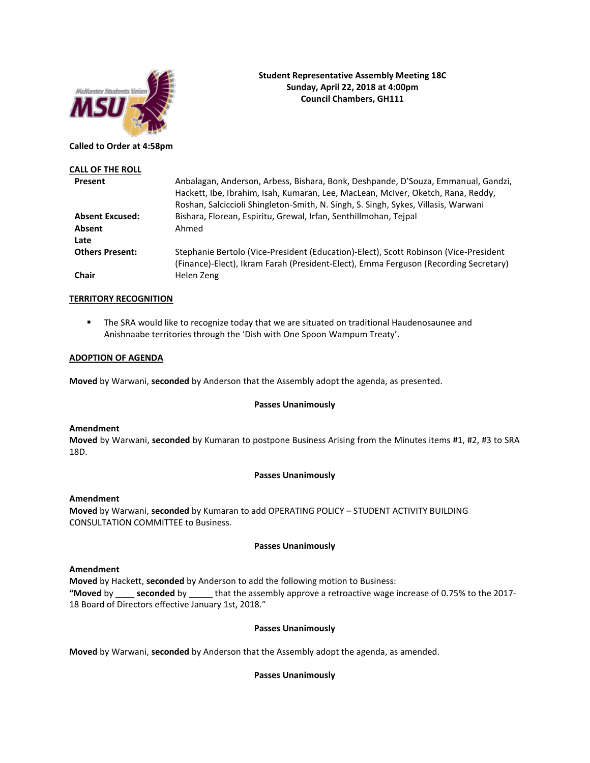

## **Student Representative Assembly Meeting 18C Sunday, April 22, 2018 at 4:00pm Council Chambers, GH111**

## **Called to Order at 4:58pm**

| <b>CALL OF THE ROLL</b> |                                                                                                                                                                                                                                                             |
|-------------------------|-------------------------------------------------------------------------------------------------------------------------------------------------------------------------------------------------------------------------------------------------------------|
| Present                 | Anbalagan, Anderson, Arbess, Bishara, Bonk, Deshpande, D'Souza, Emmanual, Gandzi,<br>Hackett, Ibe, Ibrahim, Isah, Kumaran, Lee, MacLean, McIver, Oketch, Rana, Reddy,<br>Roshan, Salciccioli Shingleton-Smith, N. Singh, S. Singh, Sykes, Villasis, Warwani |
| <b>Absent Excused:</b>  | Bishara, Florean, Espiritu, Grewal, Irfan, Senthillmohan, Teipal                                                                                                                                                                                            |
| Absent                  | Ahmed                                                                                                                                                                                                                                                       |
| Late                    |                                                                                                                                                                                                                                                             |
| <b>Others Present:</b>  | Stephanie Bertolo (Vice-President (Education)-Elect), Scott Robinson (Vice-President<br>(Finance)-Elect), Ikram Farah (President-Elect), Emma Ferguson (Recording Secretary)                                                                                |
| Chair                   | Helen Zeng                                                                                                                                                                                                                                                  |

## **TERRITORY RECOGNITION**

■ The SRA would like to recognize today that we are situated on traditional Haudenosaunee and Anishnaabe territories through the 'Dish with One Spoon Wampum Treaty'.

#### **ADOPTION OF AGENDA**

**Moved** by Warwani, **seconded** by Anderson that the Assembly adopt the agenda, as presented.

## **Passes Unanimously**

#### **Amendment**

**Moved** by Warwani, **seconded** by Kumaran to postpone Business Arising from the Minutes items #1, #2, #3 to SRA 18D.

## **Passes Unanimously**

## **Amendment**

**Moved** by Warwani, **seconded** by Kumaran to add OPERATING POLICY – STUDENT ACTIVITY BUILDING CONSULTATION COMMITTEE to Business.

## **Passes Unanimously**

## **Amendment**

**Moved** by Hackett, **seconded** by Anderson to add the following motion to Business: **"Moved** by \_\_\_\_ **seconded** by \_\_\_\_\_ that the assembly approve a retroactive wage increase of 0.75% to the 2017- 18 Board of Directors effective January 1st, 2018."

## **Passes Unanimously**

**Moved** by Warwani, **seconded** by Anderson that the Assembly adopt the agenda, as amended.

## **Passes Unanimously**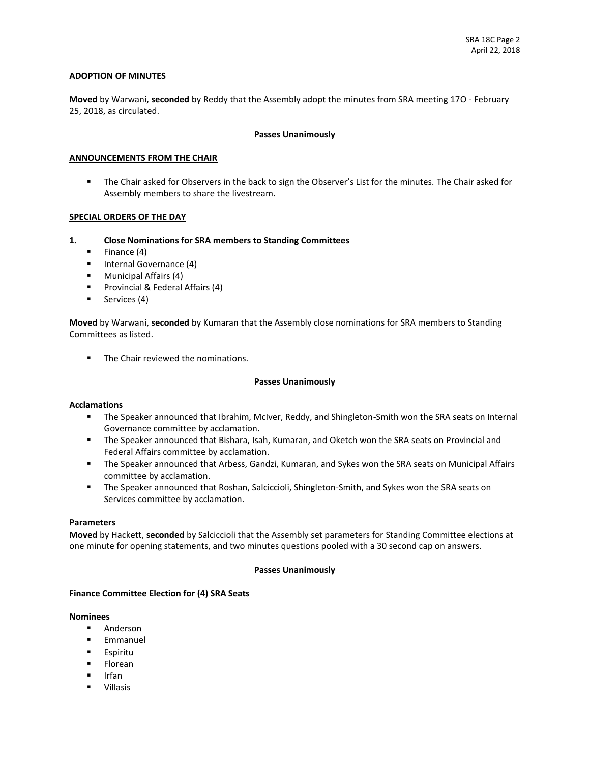## **ADOPTION OF MINUTES**

**Moved** by Warwani, **seconded** by Reddy that the Assembly adopt the minutes from SRA meeting 17O - February 25, 2018, as circulated.

## **Passes Unanimously**

## **ANNOUNCEMENTS FROM THE CHAIR**

■ The Chair asked for Observers in the back to sign the Observer's List for the minutes. The Chair asked for Assembly members to share the livestream.

## **SPECIAL ORDERS OF THE DAY**

- **1. Close Nominations for SRA members to Standing Committees**
	- $\blacksquare$  Finance (4)
	- Internal Governance (4)
	- Municipal Affairs (4)
	- Provincial & Federal Affairs (4)
	- **■** Services (4)

**Moved** by Warwani, **seconded** by Kumaran that the Assembly close nominations for SRA members to Standing Committees as listed.

■ The Chair reviewed the nominations.

#### **Passes Unanimously**

#### **Acclamations**

- **■** The Speaker announced that Ibrahim, McIver, Reddy, and Shingleton-Smith won the SRA seats on Internal Governance committee by acclamation.
- The Speaker announced that Bishara, Isah, Kumaran, and Oketch won the SRA seats on Provincial and Federal Affairs committee by acclamation.
- **.** The Speaker announced that Arbess, Gandzi, Kumaran, and Sykes won the SRA seats on Municipal Affairs committee by acclamation.
- **■** The Speaker announced that Roshan, Salciccioli, Shingleton-Smith, and Sykes won the SRA seats on Services committee by acclamation.

#### **Parameters**

**Moved** by Hackett, **seconded** by Salciccioli that the Assembly set parameters for Standing Committee elections at one minute for opening statements, and two minutes questions pooled with a 30 second cap on answers.

### **Passes Unanimously**

#### **Finance Committee Election for (4) SRA Seats**

#### **Nominees**

- Anderson
- Emmanuel
- Espiritu
- Florean
- Irfan
- Villasis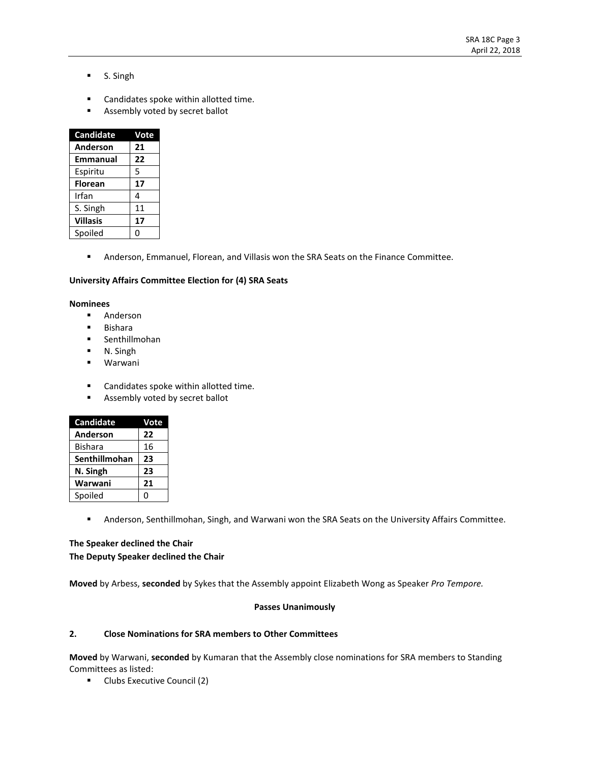- S. Singh
- Candidates spoke within allotted time.
- Assembly voted by secret ballot

| <b>Candidate</b> | Vote |
|------------------|------|
| Anderson         | 21   |
| <b>Emmanual</b>  | 22   |
| Espiritu         | 5    |
| <b>Florean</b>   | 17   |
| Irfan            | 4    |
| S. Singh         | 11   |
| <b>Villasis</b>  | 17   |
| Spoiled          | Ω    |

**■** Anderson, Emmanuel, Florean, and Villasis won the SRA Seats on the Finance Committee.

## **University Affairs Committee Election for (4) SRA Seats**

### **Nominees**

- Anderson
- Bishara
- Senthillmohan
- N. Singh
- Warwani
- Candidates spoke within allotted time.
- Assembly voted by secret ballot

| <b>Candidate</b> | Vote |
|------------------|------|
| Anderson         | 22   |
| <b>Bishara</b>   | 16   |
| Senthillmohan    | 23   |
| N. Singh         | 23   |
| Warwani          | 21   |
| Spoiled          | O    |

▪ Anderson, Senthillmohan, Singh, and Warwani won the SRA Seats on the University Affairs Committee.

## **The Speaker declined the Chair The Deputy Speaker declined the Chair**

**Moved** by Arbess, **seconded** by Sykes that the Assembly appoint Elizabeth Wong as Speaker *Pro Tempore.*

## **Passes Unanimously**

## **2. Close Nominations for SRA members to Other Committees**

**Moved** by Warwani, **seconded** by Kumaran that the Assembly close nominations for SRA members to Standing Committees as listed:

■ Clubs Executive Council (2)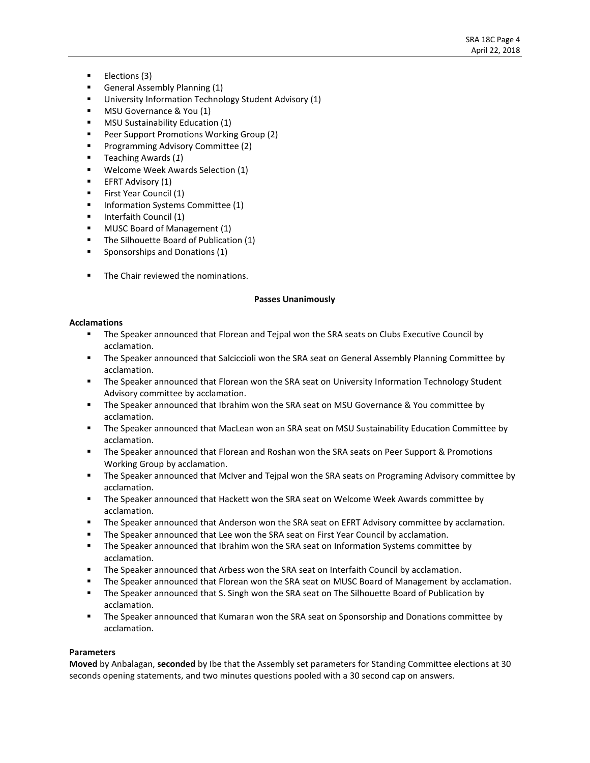- Elections (3)
- General Assembly Planning (1)
- University Information Technology Student Advisory (1)
- MSU Governance & You (1)
- **MSU Sustainability Education (1)**
- Peer Support Promotions Working Group (2)
- Programming Advisory Committee (2)
- Teaching Awards (*1*)
- Welcome Week Awards Selection (1)
- **EFRT Advisory (1)**
- **EXECUTE:** First Year Council (1)
- **■** Information Systems Committee (1)
- Interfaith Council (1)
- MUSC Board of Management (1)
- **•** The Silhouette Board of Publication (1)
- Sponsorships and Donations (1)
- The Chair reviewed the nominations.

## **Passes Unanimously**

## **Acclamations**

- **The Speaker announced that Florean and Tejpal won the SRA seats on Clubs Executive Council by** acclamation.
- **EXECT** The Speaker announced that Salciccioli won the SRA seat on General Assembly Planning Committee by acclamation.
- **■** The Speaker announced that Florean won the SRA seat on University Information Technology Student Advisory committee by acclamation.
- The Speaker announced that Ibrahim won the SRA seat on MSU Governance & You committee by acclamation.
- The Speaker announced that MacLean won an SRA seat on MSU Sustainability Education Committee by acclamation.
- **The Speaker announced that Florean and Roshan won the SRA seats on Peer Support & Promotions** Working Group by acclamation.
- **■** The Speaker announced that McIver and Tejpal won the SRA seats on Programing Advisory committee by acclamation.
- The Speaker announced that Hackett won the SRA seat on Welcome Week Awards committee by acclamation.
- **The Speaker announced that Anderson won the SRA seat on EFRT Advisory committee by acclamation.**
- The Speaker announced that Lee won the SRA seat on First Year Council by acclamation.
- **.** The Speaker announced that Ibrahim won the SRA seat on Information Systems committee by acclamation.
- **•** The Speaker announced that Arbess won the SRA seat on Interfaith Council by acclamation.
- **■** The Speaker announced that Florean won the SRA seat on MUSC Board of Management by acclamation.
- **•** The Speaker announced that S. Singh won the SRA seat on The Silhouette Board of Publication by acclamation.
- The Speaker announced that Kumaran won the SRA seat on Sponsorship and Donations committee by acclamation.

## **Parameters**

**Moved** by Anbalagan, **seconded** by Ibe that the Assembly set parameters for Standing Committee elections at 30 seconds opening statements, and two minutes questions pooled with a 30 second cap on answers.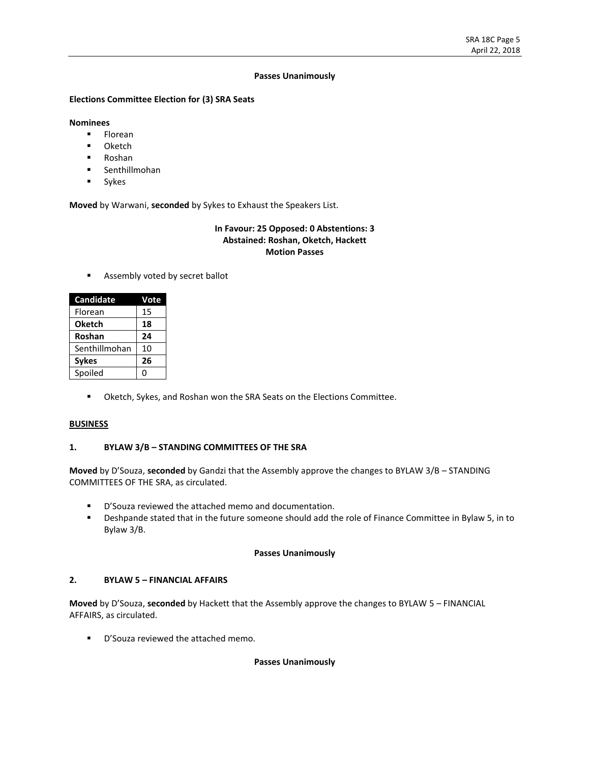### **Passes Unanimously**

## **Elections Committee Election for (3) SRA Seats**

## **Nominees**

- Florean
- Oketch
- Roshan
- Senthillmohan
- Sykes

**Moved** by Warwani, **seconded** by Sykes to Exhaust the Speakers List.

## **In Favour: 25 Opposed: 0 Abstentions: 3 Abstained: Roshan, Oketch, Hackett Motion Passes**

■ Assembly voted by secret ballot

| <b>Candidate</b> | Vote |
|------------------|------|
| Florean          | 15   |
| <b>Oketch</b>    | 18   |
| Roshan           | 24   |
| Senthillmohan    | 10   |
| <b>Sykes</b>     | 26   |
| Spoiled          | 0    |

▪ Oketch, Sykes, and Roshan won the SRA Seats on the Elections Committee.

## **BUSINESS**

## **1. BYLAW 3/B – STANDING COMMITTEES OF THE SRA**

**Moved** by D'Souza, **seconded** by Gandzi that the Assembly approve the changes to BYLAW 3/B – STANDING COMMITTEES OF THE SRA, as circulated.

- D'Souza reviewed the attached memo and documentation.
- Deshpande stated that in the future someone should add the role of Finance Committee in Bylaw 5, in to Bylaw 3/B.

## **Passes Unanimously**

## **2. BYLAW 5 – FINANCIAL AFFAIRS**

**Moved** by D'Souza, **seconded** by Hackett that the Assembly approve the changes to BYLAW 5 – FINANCIAL AFFAIRS, as circulated.

■ D'Souza reviewed the attached memo.

## **Passes Unanimously**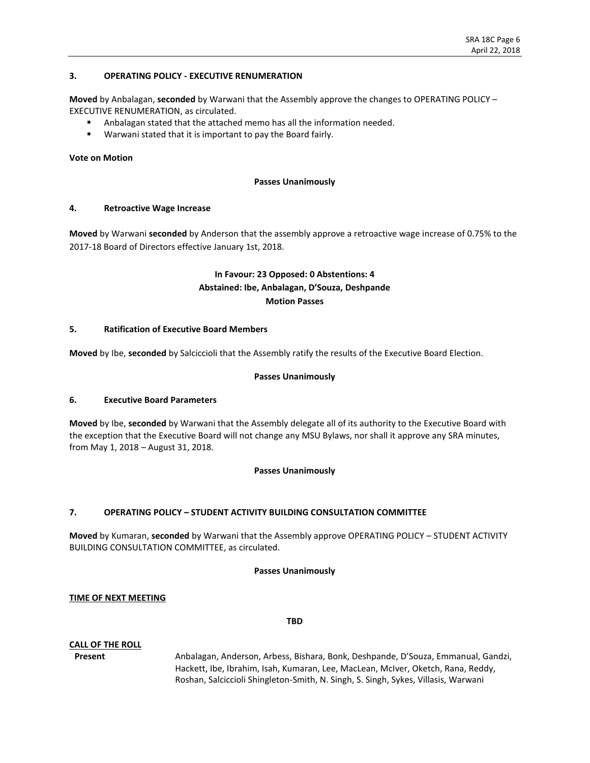## **3. OPERATING POLICY - EXECUTIVE RENUMERATION**

**Moved** by Anbalagan, **seconded** by Warwani that the Assembly approve the changes to OPERATING POLICY – EXECUTIVE RENUMERATION, as circulated.

- Anbalagan stated that the attached memo has all the information needed.
- Warwani stated that it is important to pay the Board fairly.

## **Vote on Motion**

### **Passes Unanimously**

## **4. Retroactive Wage Increase**

**Moved** by Warwani **seconded** by Anderson that the assembly approve a retroactive wage increase of 0.75% to the 2017-18 Board of Directors effective January 1st, 2018.

## **In Favour: 23 Opposed: 0 Abstentions: 4 Abstained: Ibe, Anbalagan, D'Souza, Deshpande Motion Passes**

## **5. Ratification of Executive Board Members**

**Moved** by Ibe, **seconded** by Salciccioli that the Assembly ratify the results of the Executive Board Election.

### **Passes Unanimously**

## **6. Executive Board Parameters**

**Moved** by Ibe, **seconded** by Warwani that the Assembly delegate all of its authority to the Executive Board with the exception that the Executive Board will not change any MSU Bylaws, nor shall it approve any SRA minutes, from May 1, 2018 – August 31, 2018.

## **Passes Unanimously**

## **7. OPERATING POLICY – STUDENT ACTIVITY BUILDING CONSULTATION COMMITTEE**

**Moved** by Kumaran, **seconded** by Warwani that the Assembly approve OPERATING POLICY – STUDENT ACTIVITY BUILDING CONSULTATION COMMITTEE, as circulated.

#### **Passes Unanimously**

## **TIME OF NEXT MEETING**

#### **TBD**

## **CALL OF THE ROLL**

**Present** Anbalagan, Anderson, Arbess, Bishara, Bonk, Deshpande, D'Souza, Emmanual, Gandzi, Hackett, Ibe, Ibrahim, Isah, Kumaran, Lee, MacLean, McIver, Oketch, Rana, Reddy, Roshan, Salciccioli Shingleton-Smith, N. Singh, S. Singh, Sykes, Villasis, Warwani